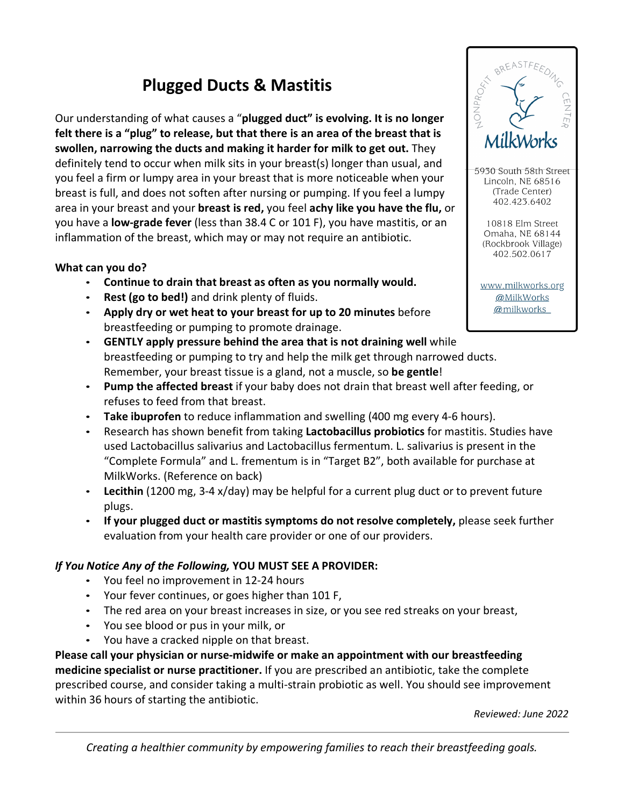## **Plugged Ducts & Mastitis**

Our understanding of what causes a "**plugged duct" is evolving. It is no longer felt there is a "plug" to release, but that there is an area of the breast that is swollen, narrowing the ducts and making it harder for milk to get out.** They definitely tend to occur when milk sits in your breast(s) longer than usual, and you feel a firm or lumpy area in your breast that is more noticeable when your breast is full, and does not soften after nursing or pumping. If you feel a lumpy area in your breast and your **breast is red,** you feel **achy like you have the flu,** or you have a **low-grade fever** (less than 38.4 C or 101 F), you have mastitis, or an inflammation of the breast, which may or may not require an antibiotic.

## **What can you do?**

- **Continue to drain that breast as often as you normally would.**
- Rest (go to bed!) and drink plenty of fluids.
- **Apply dry or wet heat to your breast for up to 20 minutes** before breastfeeding or pumping to promote drainage.
- **GENTLY apply pressure behind the area that is not draining well** while breastfeeding or pumping to try and help the milk get through narrowed ducts. Remember, your breast tissue is a gland, not a muscle, so **be gentle**!
- **Pump the affected breast** if your baby does not drain that breast well after feeding, or refuses to feed from that breast.
- **Take ibuprofen** to reduce inflammation and swelling (400 mg every 4-6 hours).
- Research has shown benefit from taking **Lactobacillus probiotics** for mastitis. Studies have used Lactobacillus salivarius and Lactobacillus fermentum. L. salivarius is present in the "Complete Formula" and L. frementum is in "Target B2", both available for purchase at MilkWorks. (Reference on back)
- **Lecithin** (1200 mg, 3-4 x/day) may be helpful for a current plug duct or to prevent future plugs.
- **If your plugged duct or mastitis symptoms do not resolve completely,** please seek further evaluation from your health care provider or one of our providers.

## *If You Notice Any of the Following,* **YOU MUST SEE A PROVIDER:**

- You feel no improvement in 12-24 hours
- Your fever continues, or goes higher than 101 F,
- The red area on your breast increases in size, or you see red streaks on your breast,
- You see blood or pus in your milk, or
- You have a cracked nipple on that breast.

**Please call your physician or nurse-midwife or make an appointment with our breastfeeding medicine specialist or nurse practitioner.** If you are prescribed an antibiotic, take the complete prescribed course, and consider taking a multi-strain probiotic as well. You should see improvement within 36 hours of starting the antibiotic.

*Reviewed: June 2022*



BREASTFE

5930 South 58th Street Lincoln, NE 68516 (Trade Center) 402.423.6402

10818 Elm Street Omaha, NE 68144 (Rockbrook Village) 402.502.0617

www.milkworks.org @MilkWorks @milkworks